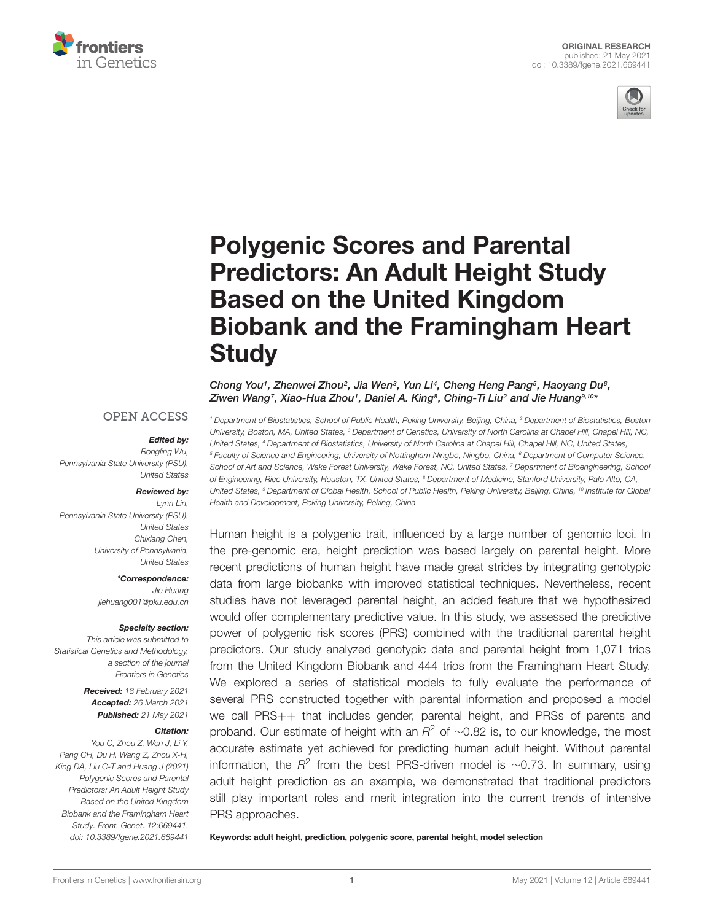



# Polygenic Scores and Parental Predictors: An Adult Height Study Based on the United Kingdom [Biobank and the Framingham Heart](https://www.frontiersin.org/articles/10.3389/fgene.2021.669441/full) **Study**

Chong You1, Zhenwei Zhou2, Jia Wen3, Yun Li4, Cheng Heng Pang5, Haoyang Du6, Ziwen Wang<sup>7</sup>, Xiao-Hua Zhou1, Daniel A. King<sup>s</sup>, Ching-Ti Liu<sup>2</sup> and Jie Huang<sup>9,10</sup>\*

#### **OPEN ACCESS**

#### Edited by:

Rongling Wu, Pennsylvania State University (PSU), United States

#### Reviewed by:

Lynn Lin, Pennsylvania State University (PSU), United States Chixiang Chen, University of Pennsylvania, United States

> \*Correspondence: Jie Huang jiehuang001@pku.edu.cn

#### Specialty section:

This article was submitted to Statistical Genetics and Methodology, a section of the journal Frontiers in Genetics

> Received: 18 February 2021 Accepted: 26 March 2021 Published: 21 May 2021

#### Citation:

You C, Zhou Z, Wen J, Li Y, Pang CH, Du H, Wang Z, Zhou X-H, King DA, Liu C-T and Huang J (2021) Polygenic Scores and Parental Predictors: An Adult Height Study Based on the United Kingdom Biobank and the Framingham Heart Study. Front. Genet. 12:669441. doi: [10.3389/fgene.2021.669441](https://doi.org/10.3389/fgene.2021.669441)

<sup>1</sup> Department of Biostatistics, School of Public Health, Peking University, Beijing, China, <sup>2</sup> Department of Biostatistics, Boston University, Boston, MA, United States, <sup>3</sup> Department of Genetics, University of North Carolina at Chapel Hill, Chapel Hill, NC, United States, <sup>4</sup> Department of Biostatistics, University of North Carolina at Chapel Hill, Chapel Hill, NC, United States, <sup>5</sup> Faculty of Science and Engineering, University of Nottingham Ningbo, Ningbo, China, <sup>6</sup> Department of Computer Science, School of Art and Science, Wake Forest University, Wake Forest, NC, United States, 7 Department of Bioengineering, School of Engineering, Rice University, Houston, TX, United States, <sup>8</sup> Department of Medicine, Stanford University, Palo Alto, CA, United States, <sup>9</sup> Department of Global Health, School of Public Health, Peking University, Beijing, China, <sup>10</sup> Institute for Global Health and Development, Peking University, Peking, China

Human height is a polygenic trait, influenced by a large number of genomic loci. In the pre-genomic era, height prediction was based largely on parental height. More recent predictions of human height have made great strides by integrating genotypic data from large biobanks with improved statistical techniques. Nevertheless, recent studies have not leveraged parental height, an added feature that we hypothesized would offer complementary predictive value. In this study, we assessed the predictive power of polygenic risk scores (PRS) combined with the traditional parental height predictors. Our study analyzed genotypic data and parental height from 1,071 trios from the United Kingdom Biobank and 444 trios from the Framingham Heart Study. We explored a series of statistical models to fully evaluate the performance of several PRS constructed together with parental information and proposed a model we call PRS++ that includes gender, parental height, and PRSs of parents and proband. Our estimate of height with an  $R^2$  of ~0.82 is, to our knowledge, the most accurate estimate yet achieved for predicting human adult height. Without parental information, the  $R^2$  from the best PRS-driven model is ~0.73. In summary, using adult height prediction as an example, we demonstrated that traditional predictors still play important roles and merit integration into the current trends of intensive PRS approaches.

Keywords: adult height, prediction, polygenic score, parental height, model selection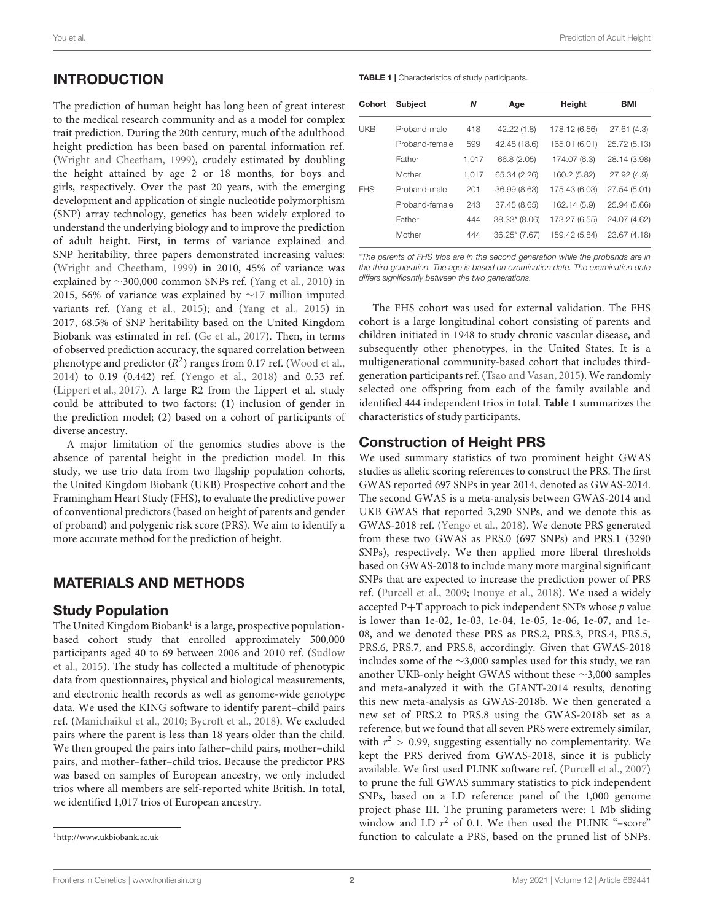# INTRODUCTION

The prediction of human height has long been of great interest to the medical research community and as a model for complex trait prediction. During the 20th century, much of the adulthood height prediction has been based on parental information ref. [\(Wright and Cheetham,](#page-4-0) [1999\)](#page-4-0), crudely estimated by doubling the height attained by age 2 or 18 months, for boys and girls, respectively. Over the past 20 years, with the emerging development and application of single nucleotide polymorphism (SNP) array technology, genetics has been widely explored to understand the underlying biology and to improve the prediction of adult height. First, in terms of variance explained and SNP heritability, three papers demonstrated increasing values: [\(Wright and Cheetham,](#page-4-0) [1999\)](#page-4-0) in 2010, 45% of variance was explained by ∼300,000 common SNPs ref. [\(Yang et al.,](#page-4-1) [2010\)](#page-4-1) in 2015, 56% of variance was explained by ∼17 million imputed variants ref. [\(Yang et al.,](#page-4-2) [2015\)](#page-4-2); and [\(Yang et al.,](#page-4-2) [2015\)](#page-4-2) in 2017, 68.5% of SNP heritability based on the United Kingdom Biobank was estimated in ref. [\(Ge et al.,](#page-4-3) [2017\)](#page-4-3). Then, in terms of observed prediction accuracy, the squared correlation between phenotype and predictor  $(R^2)$  ranges from 0.17 ref. [\(Wood et al.,](#page-4-4) [2014\)](#page-4-4) to 0.19 (0.442) ref. [\(Yengo et al.,](#page-5-0) [2018\)](#page-5-0) and 0.53 ref. [\(Lippert et al.,](#page-4-5) [2017\)](#page-4-5). A large R2 from the Lippert et al. study could be attributed to two factors: (1) inclusion of gender in the prediction model; (2) based on a cohort of participants of diverse ancestry.

A major limitation of the genomics studies above is the absence of parental height in the prediction model. In this study, we use trio data from two flagship population cohorts, the United Kingdom Biobank (UKB) Prospective cohort and the Framingham Heart Study (FHS), to evaluate the predictive power of conventional predictors (based on height of parents and gender of proband) and polygenic risk score (PRS). We aim to identify a more accurate method for the prediction of height.

# MATERIALS AND METHODS

#### Study Population

The United Kingdom Biobank<sup>[1](#page-1-0)</sup> is a large, prospective populationbased cohort study that enrolled approximately 500,000 participants aged 40 to 69 between 2006 and 2010 ref. [\(Sudlow](#page-4-6) [et al.,](#page-4-6) [2015\)](#page-4-6). The study has collected a multitude of phenotypic data from questionnaires, physical and biological measurements, and electronic health records as well as genome-wide genotype data. We used the KING software to identify parent–child pairs ref. [\(Manichaikul et al.,](#page-4-7) [2010;](#page-4-7) [Bycroft et al.,](#page-4-8) [2018\)](#page-4-8). We excluded pairs where the parent is less than 18 years older than the child. We then grouped the pairs into father–child pairs, mother–child pairs, and mother–father–child trios. Because the predictor PRS was based on samples of European ancestry, we only included trios where all members are self-reported white British. In total, we identified 1,017 trios of European ancestry.

<span id="page-1-1"></span>TABLE 1 | Characteristics of study participants.

| Cohort     | <b>Subject</b> | N     | Age             | Height        | <b>BMI</b>   |
|------------|----------------|-------|-----------------|---------------|--------------|
| UKB        | Proband-male   | 418   | 42.22 (1.8)     | 178.12 (6.56) | 27.61(4.3)   |
|            | Proband-female | 599   | 42.48 (18.6)    | 165.01 (6.01) | 25.72 (5.13) |
|            | Father         | 1,017 | 66.8 (2.05)     | 174.07 (6.3)  | 28.14 (3.98) |
|            | Mother         | 1.017 | 65.34 (2.26)    | 160.2 (5.82)  | 27.92 (4.9)  |
| <b>FHS</b> | Proband-male   | 201   | 36.99 (8.63)    | 175.43 (6.03) | 27.54 (5.01) |
|            | Proband-female | 243   | 37.45 (8.65)    | 162.14 (5.9)  | 25.94 (5.66) |
|            | Father         | 444   | 38.33* (8.06)   | 173.27 (6.55) | 24.07 (4.62) |
|            | Mother         | 444   | $36.25*$ (7.67) | 159.42 (5.84) | 23.67 (4.18) |

\*The parents of FHS trios are in the second generation while the probands are in the third generation. The age is based on examination date. The examination date differs significantly between the two generations.

The FHS cohort was used for external validation. The FHS cohort is a large longitudinal cohort consisting of parents and children initiated in 1948 to study chronic vascular disease, and subsequently other phenotypes, in the United States. It is a multigenerational community-based cohort that includes thirdgeneration participants ref. [\(Tsao and Vasan,](#page-4-9) [2015\)](#page-4-9). We randomly selected one offspring from each of the family available and identified 444 independent trios in total. **[Table 1](#page-1-1)** summarizes the characteristics of study participants.

# Construction of Height PRS

We used summary statistics of two prominent height GWAS studies as allelic scoring references to construct the PRS. The first GWAS reported 697 SNPs in year 2014, denoted as GWAS-2014. The second GWAS is a meta-analysis between GWAS-2014 and UKB GWAS that reported 3,290 SNPs, and we denote this as GWAS-2018 ref. [\(Yengo et al.,](#page-5-0) [2018\)](#page-5-0). We denote PRS generated from these two GWAS as PRS.0 (697 SNPs) and PRS.1 (3290 SNPs), respectively. We then applied more liberal thresholds based on GWAS-2018 to include many more marginal significant SNPs that are expected to increase the prediction power of PRS ref. [\(Purcell et al.,](#page-4-10) [2009;](#page-4-10) [Inouye et al.,](#page-4-11) [2018\)](#page-4-11). We used a widely accepted  $P+T$  approach to pick independent SNPs whose  $p$  value is lower than 1e-02, 1e-03, 1e-04, 1e-05, 1e-06, 1e-07, and 1e-08, and we denoted these PRS as PRS.2, PRS.3, PRS.4, PRS.5, PRS.6, PRS.7, and PRS.8, accordingly. Given that GWAS-2018 includes some of the ∼3,000 samples used for this study, we ran another UKB-only height GWAS without these ∼3,000 samples and meta-analyzed it with the GIANT-2014 results, denoting this new meta-analysis as GWAS-2018b. We then generated a new set of PRS.2 to PRS.8 using the GWAS-2018b set as a reference, but we found that all seven PRS were extremely similar, with  $r^2 > 0.99$ , suggesting essentially no complementarity. We kept the PRS derived from GWAS-2018, since it is publicly available. We first used PLINK software ref. [\(Purcell et al.,](#page-4-12) [2007\)](#page-4-12) to prune the full GWAS summary statistics to pick independent SNPs, based on a LD reference panel of the 1,000 genome project phase III. The pruning parameters were: 1 Mb sliding window and LD  $r^2$  of 0.1. We then used the PLINK "-score" function to calculate a PRS, based on the pruned list of SNPs.

You et al. Prediction of Adult Height

<span id="page-1-0"></span><sup>1</sup><http://www.ukbiobank.ac.uk>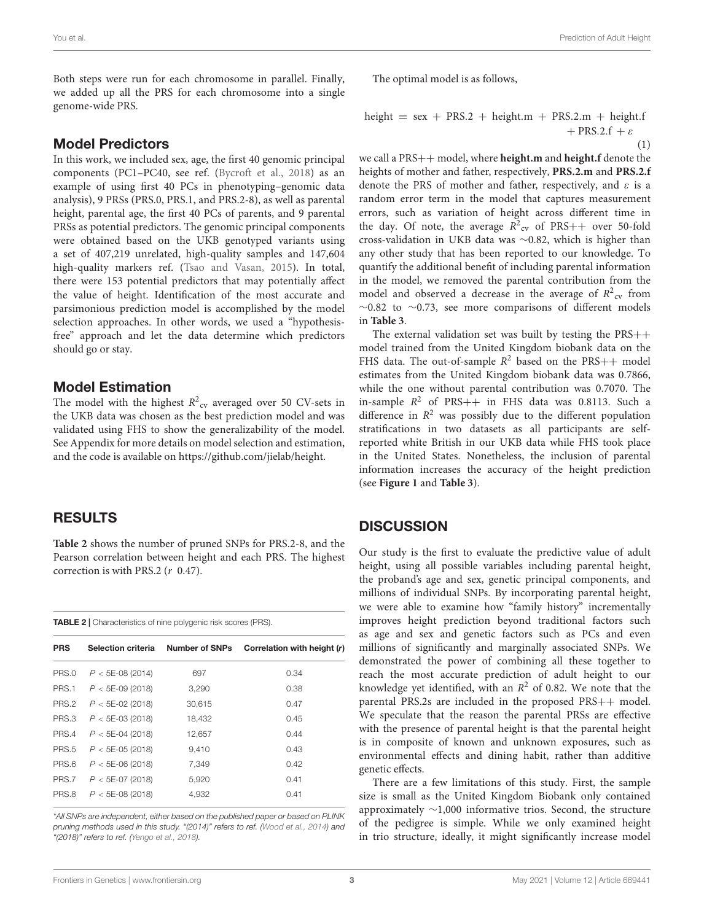Both steps were run for each chromosome in parallel. Finally, we added up all the PRS for each chromosome into a single genome-wide PRS.

### Model Predictors

In this work, we included sex, age, the first 40 genomic principal components (PC1–PC40, see ref. [\(Bycroft et al.,](#page-4-8) [2018\)](#page-4-8) as an example of using first 40 PCs in phenotyping–genomic data analysis), 9 PRSs (PRS.0, PRS.1, and PRS.2-8), as well as parental height, parental age, the first 40 PCs of parents, and 9 parental PRSs as potential predictors. The genomic principal components were obtained based on the UKB genotyped variants using a set of 407,219 unrelated, high-quality samples and 147,604 high-quality markers ref. [\(Tsao and Vasan,](#page-4-9) [2015\)](#page-4-9). In total, there were 153 potential predictors that may potentially affect the value of height. Identification of the most accurate and parsimonious prediction model is accomplished by the model selection approaches. In other words, we used a "hypothesisfree" approach and let the data determine which predictors should go or stay.

### Model Estimation

The model with the highest  $R^2_{\text{cv}}$  averaged over 50 CV-sets in the UKB data was chosen as the best prediction model and was validated using FHS to show the generalizability of the model. See Appendix for more details on model selection and estimation, and the code is available on [https://github.com/jielab/height.](https://github.com/jielab/height)

# RESULTS

**[Table 2](#page-2-0)** shows the number of pruned SNPs for PRS.2-8, and the Pearson correlation between height and each PRS. The highest correction is with PRS.2 (r 0.47).

<span id="page-2-0"></span>

| <b>TABLE 2</b>   Characteristics of nine polygenic risk scores (PRS). |  |  |
|-----------------------------------------------------------------------|--|--|
|                                                                       |  |  |

| <b>PRS</b> | Selection criteria | Number of SNPs | Correlation with height (r) |
|------------|--------------------|----------------|-----------------------------|
| PRS.0      | $P < 5E-08(2014)$  | 697            | 0.34                        |
| PRS.1      | $P < 5E-09(2018)$  | 3,290          | 0.38                        |
| PRS.2      | $P < 5E-02(2018)$  | 30.615         | 0.47                        |
| PRS.3      | $P < 5E-03(2018)$  | 18.432         | 0.45                        |
| PRS.4      | $P < 5E-04$ (2018) | 12.657         | 0.44                        |
| PRS.5      | $P < 5E-05(2018)$  | 9.410          | 0.43                        |
| PRS.6      | $P < 5E-06(2018)$  | 7.349          | 0.42                        |
| PRS.7      | $P < 5E-07(2018)$  | 5.920          | 0.41                        |
| PRS.8      | $P < 5E-08(2018)$  | 4,932          | 0.41                        |

\*All SNPs are independent, either based on the published paper or based on PLINK pruning methods used in this study. "(2014)" refers to ref. [\(Wood et al.,](#page-4-4) [2014\)](#page-4-4) and "(2018)" refers to ref. [\(Yengo et al.,](#page-5-0) [2018\)](#page-5-0).

The optimal model is as follows,

height =  $sex$  + PRS.2 + height.m + PRS.2.m + height.f  $+$  PRS.2.f +  $\varepsilon$ (1)

we call a PRS++ model, where **height.m** and **height.f** denote the heights of mother and father, respectively, **PRS.2.m** and **PRS.2.f** denote the PRS of mother and father, respectively, and  $\varepsilon$  is a random error term in the model that captures measurement errors, such as variation of height across different time in the day. Of note, the average  $R^2_{\text{cv}}$  of PRS++ over 50-fold cross-validation in UKB data was ∼0.82, which is higher than any other study that has been reported to our knowledge. To quantify the additional benefit of including parental information in the model, we removed the parental contribution from the model and observed a decrease in the average of  $R^2_{\text{cv}}$  from ∼0.82 to ∼0.73, see more comparisons of different models in **[Table 3](#page-3-0)**.

The external validation set was built by testing the PRS++ model trained from the United Kingdom biobank data on the FHS data. The out-of-sample  $R^2$  based on the PRS++ model estimates from the United Kingdom biobank data was 0.7866, while the one without parental contribution was 0.7070. The in-sample  $R^2$  of PRS++ in FHS data was 0.8113. Such a difference in  $\mathbb{R}^2$  was possibly due to the different population stratifications in two datasets as all participants are selfreported white British in our UKB data while FHS took place in the United States. Nonetheless, the inclusion of parental information increases the accuracy of the height prediction (see **[Figure 1](#page-3-1)** and **[Table 3](#page-3-0)**).

# **DISCUSSION**

Our study is the first to evaluate the predictive value of adult height, using all possible variables including parental height, the proband's age and sex, genetic principal components, and millions of individual SNPs. By incorporating parental height, we were able to examine how "family history" incrementally improves height prediction beyond traditional factors such as age and sex and genetic factors such as PCs and even millions of significantly and marginally associated SNPs. We demonstrated the power of combining all these together to reach the most accurate prediction of adult height to our knowledge yet identified, with an  $R^2$  of 0.82. We note that the parental PRS.2s are included in the proposed PRS++ model. We speculate that the reason the parental PRSs are effective with the presence of parental height is that the parental height is in composite of known and unknown exposures, such as environmental effects and dining habit, rather than additive genetic effects.

There are a few limitations of this study. First, the sample size is small as the United Kingdom Biobank only contained approximately ∼1,000 informative trios. Second, the structure of the pedigree is simple. While we only examined height in trio structure, ideally, it might significantly increase model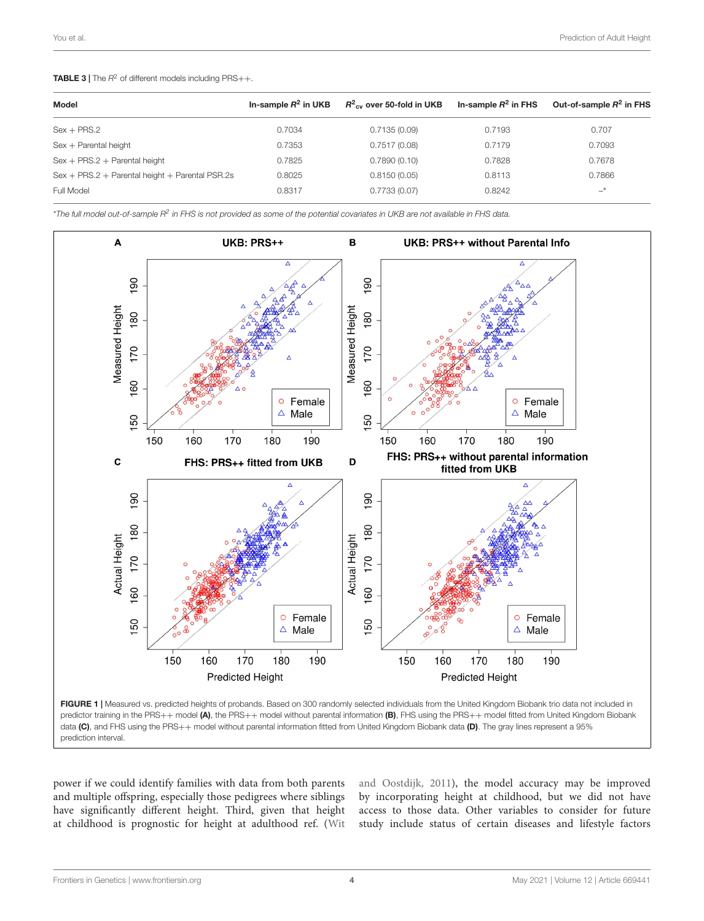#### <span id="page-3-0"></span>**TABLE 3** | The  $R^2$  of different models including  $PRS++$ .

| Model                                             | In-sample $R^2$ in UKB | $R^2_{\text{cv}}$ over 50-fold in UKB | In-sample $R^2$ in FHS | Out-of-sample $R^2$ in FHS |
|---------------------------------------------------|------------------------|---------------------------------------|------------------------|----------------------------|
| $Sex + PRS.2$                                     | 0.7034                 | 0.7135(0.09)                          | 0.7193                 | 0.707                      |
| $Sex + Parental height$                           | 0.7353                 | 0.7517(0.08)                          | 0.7179                 | 0.7093                     |
| $Sex + PRS.2 + Parental height$                   | 0.7825                 | 0.7890(0.10)                          | 0.7828                 | 0.7678                     |
| $Sex + PRS.2 + Parental height + Parental PSR.2s$ | 0.8025                 | 0.8150(0.05)                          | 0.8113                 | 0.7866                     |
| Full Model                                        | 0.8317                 | 0.7733(0.07)                          | 0.8242                 | $-$ *                      |

 $^*$ The full model out-of-sample R $^2$  in FHS is not provided as some of the potential covariates in UKB are not available in FHS data.



<span id="page-3-1"></span>

power if we could identify families with data from both parents and multiple offspring, especially those pedigrees where siblings have significantly different height. Third, given that height at childhood is prognostic for height at adulthood ref. [\(Wit](#page-4-13) [and Oostdijk,](#page-4-13) [2011\)](#page-4-13), the model accuracy may be improved by incorporating height at childhood, but we did not have access to those data. Other variables to consider for future study include status of certain diseases and lifestyle factors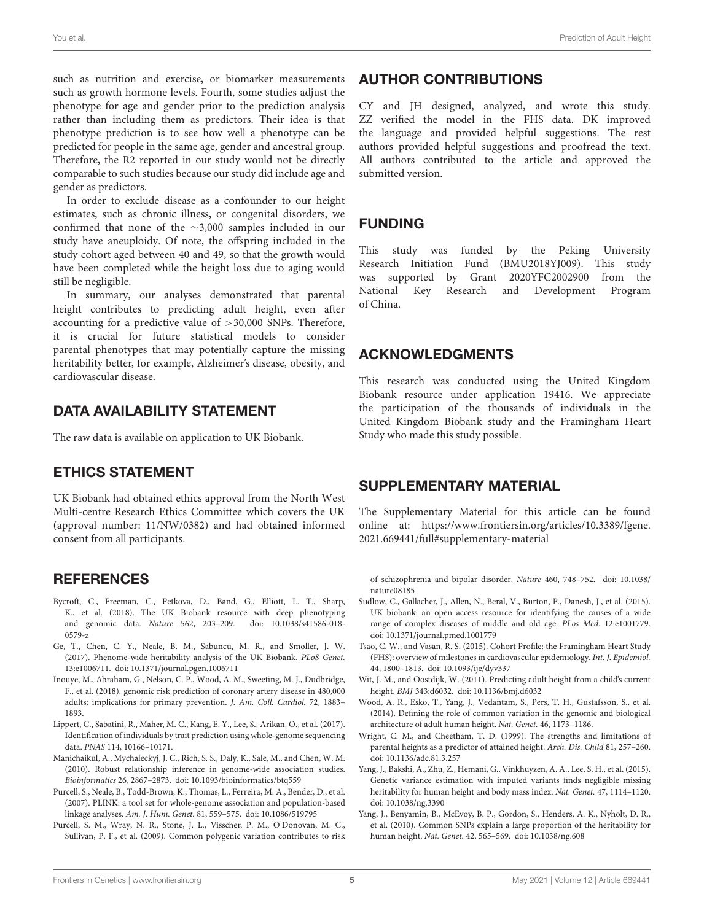such as nutrition and exercise, or biomarker measurements such as growth hormone levels. Fourth, some studies adjust the phenotype for age and gender prior to the prediction analysis rather than including them as predictors. Their idea is that phenotype prediction is to see how well a phenotype can be predicted for people in the same age, gender and ancestral group. Therefore, the R2 reported in our study would not be directly comparable to such studies because our study did include age and gender as predictors.

In order to exclude disease as a confounder to our height estimates, such as chronic illness, or congenital disorders, we confirmed that none of the ∼3,000 samples included in our study have aneuploidy. Of note, the offspring included in the study cohort aged between 40 and 49, so that the growth would have been completed while the height loss due to aging would still be negligible.

In summary, our analyses demonstrated that parental height contributes to predicting adult height, even after accounting for a predictive value of >30,000 SNPs. Therefore, it is crucial for future statistical models to consider parental phenotypes that may potentially capture the missing heritability better, for example, Alzheimer's disease, obesity, and cardiovascular disease.

# DATA AVAILABILITY STATEMENT

The raw data is available on application to UK Biobank.

## ETHICS STATEMENT

UK Biobank had obtained ethics approval from the North West Multi-centre Research Ethics Committee which covers the UK (approval number: 11/NW/0382) and had obtained informed consent from all participants.

## REFERENCES

- <span id="page-4-8"></span>Bycroft, C., Freeman, C., Petkova, D., Band, G., Elliott, L. T., Sharp, K., et al. (2018). The UK Biobank resource with deep phenotyping and genomic data. Nature 562, 203–209. [doi: 10.1038/s41586-018-](https://doi.org/10.1038/s41586-018-0579-z) [0579-z](https://doi.org/10.1038/s41586-018-0579-z)
- <span id="page-4-3"></span>Ge, T., Chen, C. Y., Neale, B. M., Sabuncu, M. R., and Smoller, J. W. (2017). Phenome-wide heritability analysis of the UK Biobank. PLoS Genet. 13:e1006711. [doi: 10.1371/journal.pgen.1006711](https://doi.org/10.1371/journal.pgen.1006711)
- <span id="page-4-11"></span>Inouye, M., Abraham, G., Nelson, C. P., Wood, A. M., Sweeting, M. J., Dudbridge, F., et al. (2018). genomic risk prediction of coronary artery disease in 480,000 adults: implications for primary prevention. J. Am. Coll. Cardiol. 72, 1883– 1893.
- <span id="page-4-5"></span>Lippert, C., Sabatini, R., Maher, M. C., Kang, E. Y., Lee, S., Arikan, O., et al. (2017). Identification of individuals by trait prediction using whole-genome sequencing data. PNAS 114, 10166–10171.
- <span id="page-4-7"></span>Manichaikul, A., Mychaleckyj, J. C., Rich, S. S., Daly, K., Sale, M., and Chen, W. M. (2010). Robust relationship inference in genome-wide association studies. Bioinformatics 26, 2867–2873. [doi: 10.1093/bioinformatics/btq559](https://doi.org/10.1093/bioinformatics/btq559)
- <span id="page-4-12"></span>Purcell, S., Neale, B., Todd-Brown, K., Thomas, L., Ferreira, M. A., Bender, D., et al. (2007). PLINK: a tool set for whole-genome association and population-based linkage analyses. Am. J. Hum. Genet. 81, 559–575. [doi: 10.1086/519795](https://doi.org/10.1086/519795)
- <span id="page-4-10"></span>Purcell, S. M., Wray, N. R., Stone, J. L., Visscher, P. M., O'Donovan, M. C., Sullivan, P. F., et al. (2009). Common polygenic variation contributes to risk

## AUTHOR CONTRIBUTIONS

CY and JH designed, analyzed, and wrote this study. ZZ verified the model in the FHS data. DK improved the language and provided helpful suggestions. The rest authors provided helpful suggestions and proofread the text. All authors contributed to the article and approved the submitted version.

# FUNDING

This study was funded by the Peking University Research Initiation Fund (BMU2018YJ009). This study was supported by Grant 2020YFC2002900 from the National Key Research and Development Program of China.

# ACKNOWLEDGMENTS

This research was conducted using the United Kingdom Biobank resource under application 19416. We appreciate the participation of the thousands of individuals in the United Kingdom Biobank study and the Framingham Heart Study who made this study possible.

## SUPPLEMENTARY MATERIAL

The Supplementary Material for this article can be found online at: [https://www.frontiersin.org/articles/10.3389/fgene.](https://www.frontiersin.org/articles/10.3389/fgene.2021.669441/full#supplementary-material) [2021.669441/full#supplementary-material](https://www.frontiersin.org/articles/10.3389/fgene.2021.669441/full#supplementary-material)

of schizophrenia and bipolar disorder. Nature 460, 748–752. [doi: 10.1038/](https://doi.org/10.1038/nature08185) [nature08185](https://doi.org/10.1038/nature08185)

- <span id="page-4-6"></span>Sudlow, C., Gallacher, J., Allen, N., Beral, V., Burton, P., Danesh, J., et al. (2015). UK biobank: an open access resource for identifying the causes of a wide range of complex diseases of middle and old age. PLos Med. 12:e1001779. [doi: 10.1371/journal.pmed.1001779](https://doi.org/10.1371/journal.pmed.1001779)
- <span id="page-4-9"></span>Tsao, C. W., and Vasan, R. S. (2015). Cohort Profile: the Framingham Heart Study (FHS): overview of milestones in cardiovascular epidemiology. Int. J. Epidemiol. 44, 1800–1813. [doi: 10.1093/ije/dyv337](https://doi.org/10.1093/ije/dyv337)
- <span id="page-4-13"></span>Wit, J. M., and Oostdijk, W. (2011). Predicting adult height from a child's current height. BMJ 343:d6032. [doi: 10.1136/bmj.d6032](https://doi.org/10.1136/bmj.d6032)
- <span id="page-4-4"></span>Wood, A. R., Esko, T., Yang, J., Vedantam, S., Pers, T. H., Gustafsson, S., et al. (2014). Defining the role of common variation in the genomic and biological architecture of adult human height. Nat. Genet. 46, 1173–1186.
- <span id="page-4-0"></span>Wright, C. M., and Cheetham, T. D. (1999). The strengths and limitations of parental heights as a predictor of attained height. Arch. Dis. Child 81, 257–260. [doi: 10.1136/adc.81.3.257](https://doi.org/10.1136/adc.81.3.257)
- <span id="page-4-2"></span>Yang, J., Bakshi, A., Zhu, Z., Hemani, G., Vinkhuyzen, A. A., Lee, S. H., et al. (2015). Genetic variance estimation with imputed variants finds negligible missing heritability for human height and body mass index. Nat. Genet. 47, 1114–1120. [doi: 10.1038/ng.3390](https://doi.org/10.1038/ng.3390)
- <span id="page-4-1"></span>Yang, J., Benyamin, B., McEvoy, B. P., Gordon, S., Henders, A. K., Nyholt, D. R., et al. (2010). Common SNPs explain a large proportion of the heritability for human height. Nat. Genet. 42, 565–569. [doi: 10.1038/ng.608](https://doi.org/10.1038/ng.608)